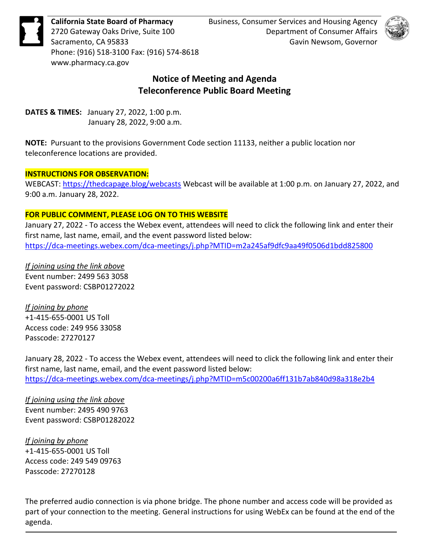

Phone: (916) 518-3100 Fax: (916) 574-8618 <www.pharmacy.ca.gov>

**California State Board of Pharmacy** Business, Consumer Services and Housing Agency 2720 Gateway Oaks Drive, Suite 100 **Department of Consumer Affairs** Sacramento, CA 95833 Gavin Newsom, Governor



# **Notice of Meeting and Agenda Teleconference Public Board Meeting**

 **DATES & TIMES:** January 27, 2022, 1:00 p.m. January 28, 2022, 9:00 a.m.

 **NOTE:** Pursuant to the provisions Government Code section 11133, neither a public location nor teleconference locations are provided.

# **INSTRUCTIONS FOR OBSERVATION:**

WEBCAST:<https://thedcapage.blog/webcasts>Webcast will be available at 1:00 p.m. on January 27, 2022, and 9:00 a.m. January 28, 2022.

# **FOR PUBLIC COMMENT, PLEASE LOG ON TO THIS WEBSITE**

 January 27, 2022 - To access the Webex event, attendees will need to click the following link and enter their first name, last name, email, and the event password listed below: <https://dca-meetings.webex.com/dca-meetings/j.php?MTID=m2a245af9dfc9aa49f0506d1bdd825800>

*If joining using the link above*  Event number: 2499 563 3058 Event password: CSBP01272022

*If joining by phone*  +1-415-655-0001 US Toll Access code: 249 956 33058 Passcode: 27270127

 January 28, 2022 - To access the Webex event, attendees will need to click the following link and enter their first name, last name, email, and the event password listed below: <https://dca-meetings.webex.com/dca-meetings/j.php?MTID=m5c00200a6ff131b7ab840d98a318e2b4>

*If joining using the link above*  Event number: 2495 490 9763 Event password: CSBP01282022

*If joining by phone*  +1-415-655-0001 US Toll Access code: 249 549 09763 Passcode: 27270128

 The preferred audio connection is via phone bridge. The phone number and access code will be provided as part of your connection to the meeting. General instructions for using WebEx can be found at the end of the agenda.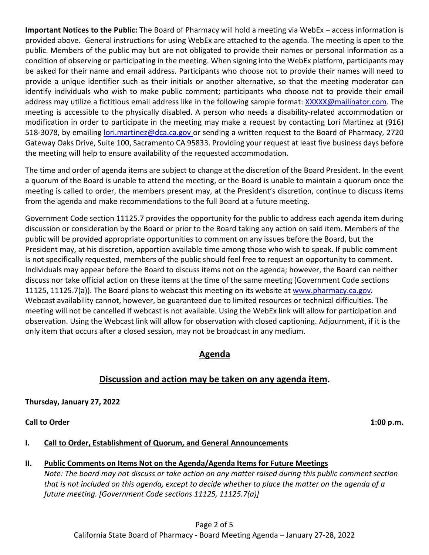provided above. General instructions for using WebEx are attached to the agenda. The meeting is open to the public. Members of the public may but are not obligated to provide their names or personal information as a condition of observing or participating in the meeting. When signing into the WebEx platform, participants may be asked for their name and email address. Participants who choose not to provide their names will need to identify individuals who wish to make public comment; participants who choose not to provide their email address may utilize a fictitious email address like in the following sample format: [XXXXX@mailinator.com.](mailto:XXXXX@mailinator.com) The 518-3078, by emailing [lori.martinez@dca.ca.gov o](mailto:lori.martinez@dca.ca.gov)r sending a written request to the Board of Pharmacy, 2720 Gateway Oaks Drive, Suite 100, Sacramento CA 95833. Providing your request at least five business days before the meeting will help to ensure availability of the requested accommodation. **Important Notices to the Public:** The Board of Pharmacy will hold a meeting via WebEx – access information is provide a unique identifier such as their initials or another alternative, so that the meeting moderator can meeting is accessible to the physically disabled. A person who needs a disability-related accommodation or modification in order to participate in the meeting may make a request by contacting Lori Martinez at (916)

 meeting is called to order, the members present may, at the President's discretion, continue to discuss items The time and order of agenda items are subject to change at the discretion of the Board President. In the event a quorum of the Board is unable to attend the meeting, or the Board is unable to maintain a quorum once the from the agenda and make recommendations to the full Board at a future meeting.

 Government Code section 11125.7 provides the opportunity for the public to address each agenda item during discussion or consideration by the Board or prior to the Board taking any action on said item. Members of the President may, at his discretion, apportion available time among those who wish to speak. If public comment discuss nor take official action on these items at the time of the same meeting (Government Code sections 11125, 11125.7(a)). The Board plans to webcast this meeting on its website at [www.pharmacy.ca.gov.](http://www.pharmacy.ca.gov/) Webcast availability cannot, however, be guaranteed due to limited resources or technical difficulties. The meeting will not be cancelled if webcast is not available. Using the WebEx link will allow for participation and only item that occurs after a closed session, may not be broadcast in any medium. public will be provided appropriate opportunities to comment on any issues before the Board, but the is not specifically requested, members of the public should feel free to request an opportunity to comment. Individuals may appear before the Board to discuss items not on the agenda; however, the Board can neither observation. Using the Webcast link will allow for observation with closed captioning. Adjournment, if it is the

# **Agenda**

# **Discussion and action may be taken on any agenda item.**

 **Thursday, January 27, 2022** 

**Call to Order Call to Order** 1:00 p.m.

# **I. Call to Order, Establishment of Quorum, and General Announcements**

# **II. Public Comments on Items Not on the Agenda/Agenda Items for Future Meetings**

*Note: The board may not discuss or take action on any matter raised during this public comment section that is not included on this agenda, except to decide whether to place the matter on the agenda of a future meeting. [Government Code sections 11125, 11125.7(a)]*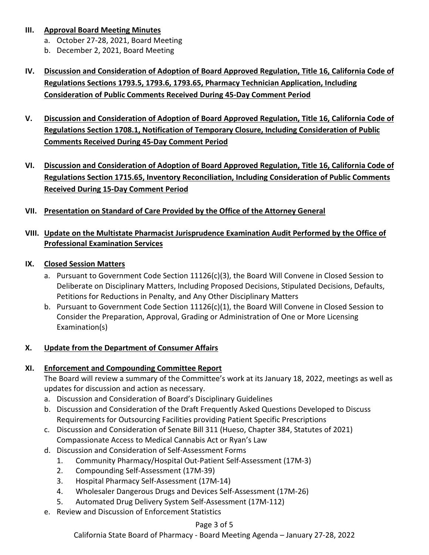# **III. Approval Board Meeting Minutes**

- a. October 27-28, 2021, Board Meeting
- b. December 2, 2021, Board Meeting
- **IV. Discussion and Consideration of Adoption of Board Approved Regulation, Title 16, California Code of Regulations Sections 1793.5, 1793.6, 1793.65, Pharmacy Technician Application, Including Consideration of Public Comments Received During 45-Day Comment Period**
- **V. Discussion and Consideration of Adoption of Board Approved Regulation, Title 16, California Code of Regulations Section 1708.1, Notification of Temporary Closure, Including Consideration of Public Comments Received During 45-Day Comment Period**
- **VI. Discussion and Consideration of Adoption of Board Approved Regulation, Title 16, California Code of Regulations Section 1715.65, Inventory Reconciliation, Including Consideration of Public Comments Received During 15-Day Comment Period**
- **VII. Presentation on Standard of Care Provided by the Office of the Attorney General**

# **VIII. Update on the Multistate Pharmacist Jurisprudence Examination Audit Performed by the Office of Professional Examination Services**

# **IX. Closed Session Matters**

- a. Pursuant to Government Code Section 11126(c)(3), the Board Will Convene in Closed Session to Deliberate on Disciplinary Matters, Including Proposed Decisions, Stipulated Decisions, Defaults, Petitions for Reductions in Penalty, and Any Other Disciplinary Matters
- Consider the Preparation, Approval, Grading or Administration of One or More Licensing b. Pursuant to Government Code Section 11126(c)(1), the Board Will Convene in Closed Session to Examination(s)

# **X. Update from the Department of Consumer Affairs**

# **XI. Enforcement and Compounding Committee Report**

updates for discussion and action as necessary. The Board will review a summary of the Committee's work at its January 18, 2022, meetings as well as

- a. Discussion and Consideration of Board's Disciplinary Guidelines
- b. Discussion and Consideration of the Draft Frequently Asked Questions Developed to Discuss Requirements for Outsourcing Facilities providing Patient Specific Prescriptions
- c. Discussion and Consideration of Senate Bill 311 (Hueso, Chapter 384, Statutes of 2021) Compassionate Access to Medical Cannabis Act or Ryan's Law
- d. Discussion and Consideration of Self-Assessment Forms
	- 1. Community Pharmacy/Hospital Out-Patient Self-Assessment (17M-3)
	- 2. Compounding Self-Assessment (17M-39)
	- 3. Hospital Pharmacy Self-Assessment (17M-14)
	- 4. Wholesaler Dangerous Drugs and Devices Self-Assessment (17M-26)
	- 5. Automated Drug Delivery System Self-Assessment (17M-112)
- e. Review and Discussion of Enforcement Statistics

#### Page 3 of 5

California State Board of Pharmacy - Board Meeting Agenda – January 27-28, 2022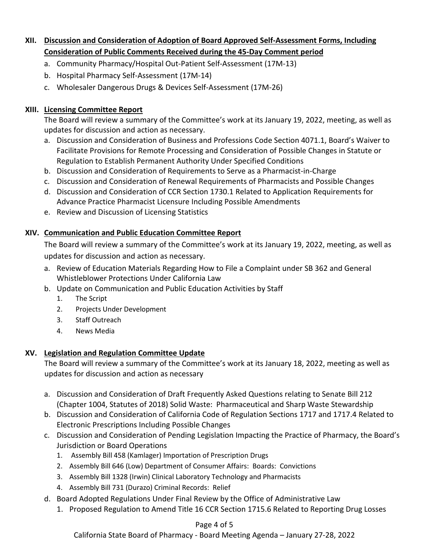# **XII. Discussion and Consideration of Adoption of Board Approved Self-Assessment Forms, Including Consideration of Public Comments Received during the 45-Day Comment period**

- a. Community Pharmacy/Hospital Out-Patient Self-Assessment (17M-13)
- b. Hospital Pharmacy Self-Assessment (17M-14)
- c. Wholesaler Dangerous Drugs & Devices Self-Assessment (17M-26)

# **XIII. Licensing Committee Report**

The Board will review a summary of the Committee's work at its January 19, 2022, meeting, as well as updates for discussion and action as necessary.

- Facilitate Provisions for Remote Processing and Consideration of Possible Changes in Statute or Regulation to Establish Permanent Authority Under Specified Conditions a. Discussion and Consideration of Business and Professions Code Section 4071.1, Board's Waiver to
- b. Discussion and Consideration of Requirements to Serve as a Pharmacist-in-Charge
- c. Discussion and Consideration of Renewal Requirements of Pharmacists and Possible Changes
- Advance Practice Pharmacist Licensure Including Possible Amendments d. Discussion and Consideration of CCR Section 1730.1 Related to Application Requirements for
- e. Review and Discussion of Licensing Statistics

# **XIV. Communication and Public Education Committee Report**

 The Board will review a summary of the Committee's work at its January 19, 2022, meeting, as well as updates for discussion and action as necessary.

- a. Review of Education Materials Regarding How to File a Complaint under SB 362 and General Whistleblower Protections Under California Law
- b. Update on Communication and Public Education Activities by Staff
	- 1. The Script
	- 2. Projects Under Development
	- 3. Staff Outreach
	- 4. News Media

# **XV. Legislation and Regulation Committee Update**

updates for discussion and action as necessary The Board will review a summary of the Committee's work at its January 18, 2022, meeting as well as

- (Chapter 1004, Statutes of 2018) Solid Waste: Pharmaceutical and Sharp Waste Stewardship a. Discussion and Consideration of Draft Frequently Asked Questions relating to Senate Bill 212
- b. Discussion and Consideration of California Code of Regulation Sections 1717 and 1717.4 Related to Electronic Prescriptions Including Possible Changes
- c. Discussion and Consideration of Pending Legislation Impacting the Practice of Pharmacy, the Board's Jurisdiction or Board Operations
	- 1. Assembly Bill 458 (Kamlager) Importation of Prescription Drugs
	- 2. Assembly Bill 646 (Low) Department of Consumer Affairs: Boards: Convictions
	- 3. Assembly Bill 1328 (Irwin) Clinical Laboratory Technology and Pharmacists
	- 4. Assembly Bill 731 (Durazo) Criminal Records: Relief
- d. Board Adopted Regulations Under Final Review by the Office of Administrative Law
	- 1. Proposed Regulation to Amend Title 16 CCR Section 1715.6 Related to Reporting Drug Losses

# Page 4 of 5

California State Board of Pharmacy - Board Meeting Agenda – January 27-28, 2022